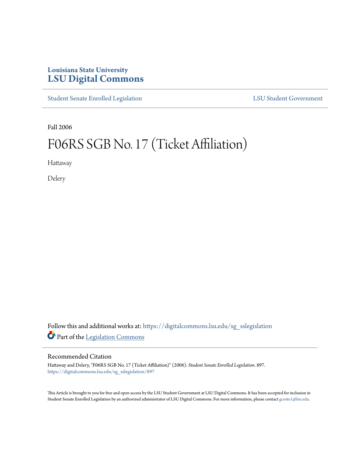## **Louisiana State University [LSU Digital Commons](https://digitalcommons.lsu.edu?utm_source=digitalcommons.lsu.edu%2Fsg_sslegislation%2F897&utm_medium=PDF&utm_campaign=PDFCoverPages)**

[Student Senate Enrolled Legislation](https://digitalcommons.lsu.edu/sg_sslegislation?utm_source=digitalcommons.lsu.edu%2Fsg_sslegislation%2F897&utm_medium=PDF&utm_campaign=PDFCoverPages) [LSU Student Government](https://digitalcommons.lsu.edu/sg?utm_source=digitalcommons.lsu.edu%2Fsg_sslegislation%2F897&utm_medium=PDF&utm_campaign=PDFCoverPages)

Fall 2006

## F06RS SGB No. 17 (Ticket Affiliation)

Hattaway

Delery

Follow this and additional works at: [https://digitalcommons.lsu.edu/sg\\_sslegislation](https://digitalcommons.lsu.edu/sg_sslegislation?utm_source=digitalcommons.lsu.edu%2Fsg_sslegislation%2F897&utm_medium=PDF&utm_campaign=PDFCoverPages) Part of the [Legislation Commons](http://network.bepress.com/hgg/discipline/859?utm_source=digitalcommons.lsu.edu%2Fsg_sslegislation%2F897&utm_medium=PDF&utm_campaign=PDFCoverPages)

## Recommended Citation

Hattaway and Delery, "F06RS SGB No. 17 (Ticket Affiliation)" (2006). *Student Senate Enrolled Legislation*. 897. [https://digitalcommons.lsu.edu/sg\\_sslegislation/897](https://digitalcommons.lsu.edu/sg_sslegislation/897?utm_source=digitalcommons.lsu.edu%2Fsg_sslegislation%2F897&utm_medium=PDF&utm_campaign=PDFCoverPages)

This Article is brought to you for free and open access by the LSU Student Government at LSU Digital Commons. It has been accepted for inclusion in Student Senate Enrolled Legislation by an authorized administrator of LSU Digital Commons. For more information, please contact [gcoste1@lsu.edu.](mailto:gcoste1@lsu.edu)